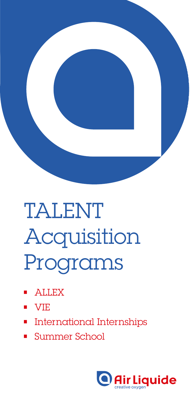

## TALENT Acquisition Programs

- ALLEX
- VIE
- International Internships
- Summer School

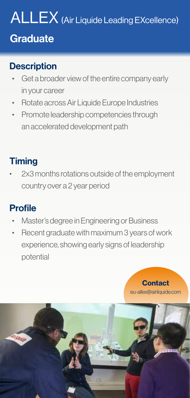# ALLEX (Air Liquide Leading EXcellence)

#### **Graduate**

#### **Description**

- Get a broader view of the entire company early in your career
- Rotate across Air Liquide Europe Industries
- Promote leadership competencies through an accelerated development path

#### **Timing**

• 2x3 months rotations outside of the employment country over a 2 year period

#### Profile

- Master's degree in Engineering or Business
- Recent graduate with maximum 3 years of work experience, showing early signs of leadership potential



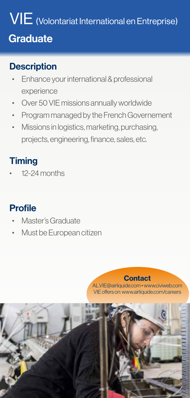### VIE (Volontariat International en Entreprise) **Graduate**

#### **Description**

- Enhance your international & professional experience
- Over 50 VIE missions annually worldwide
- Program managed by the French Governement
- Missions in logistics, marketing, purchasing, projects, engineering, finance, sales, etc.

#### **Timing**

• 12-24 months

#### Profile

- Master's Graduate
- Must be European citizen

**Contact** AL.VIE@airliquide.com • www.civiweb.com VIE offers on: www.airliquide.com/careers

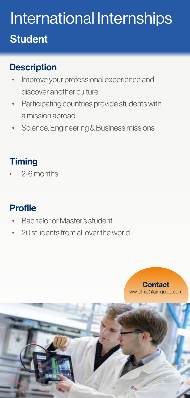### International Internships **Student**

#### **Description**

- Improve your professional experience and discover another culture
- Participating countries provide students with a mission abroad
- Science, Engineering & Business missions

#### **Timing**

• 2-6 months

#### Profile

- Bachelor or Master's student
- 20 students from all over the world



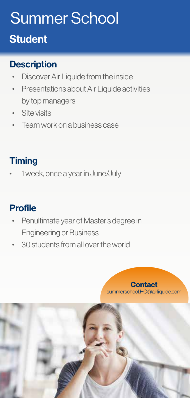### Summer School

#### **Student**

#### **Description**

- Discover Air Liquide from the inside
- Presentations about Air Liquide activities by top managers
- Site visits
- Team work on a business case

#### **Timing**

• 1 week, once a year in June/July

#### **Profile**

- Penultimate year of Master's degree in Engineering or Business
- 30 students from all over the world



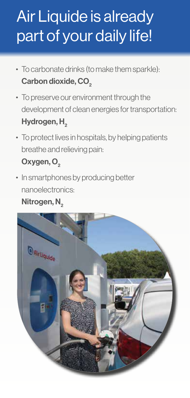### Air Liquide is already part of your daily life!

- To carbonate drinks (to make them sparkle): Carbon dioxide, CO<sub>2</sub>
- To preserve our environment through the development of clean energies for transportation: Hydrogen, H<sub>2</sub>
- To protect lives in hospitals, by helping patients breathe and relieving pain: Oxygen, O<sub>2</sub>
- In smartphones by producing better nanoelectronics:

#### Nitrogen, N<sub>2</sub>

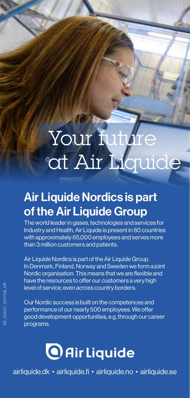## Your future at Air Liquide

#### Air Liquide Nordics is part of the Air Liquide Group

The world leader in gases, technologies and services for Industry and Health, Air Liquide is present in 80 countries with approximately 65,000 employees and serves more than 3 million customers and patients.

Air Liquide Nordics is part of the Air Liquide Group. In Denmark, Finland, Norway and Sweden we form a joint Nordic organisation. This means that we are flexible and have the resources to offer our customers a very high level of service, even across country borders.

Our Nordic success is built on the competences and performance of our nearly 500 employees. We offer good development opportunities, e.g. through our career programs.



airliquide.dk • airliquide.fi • airliquide.no • airliquide.se